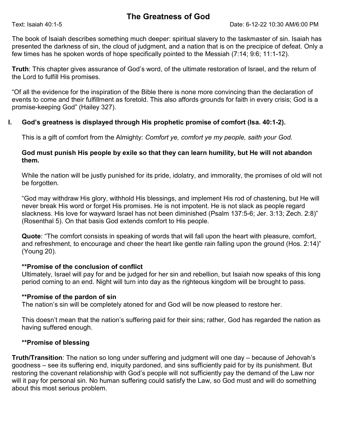# The Greatness of God

The book of Isaiah describes something much deeper: spiritual slavery to the taskmaster of sin. Isaiah has presented the darkness of sin, the cloud of judgment, and a nation that is on the precipice of defeat. Only a few times has he spoken words of hope specifically pointed to the Messiah (7:14; 9:6; 11:1-12).

Truth: This chapter gives assurance of God's word, of the ultimate restoration of Israel, and the return of the Lord to fulfill His promises.

"Of all the evidence for the inspiration of the Bible there is none more convincing than the declaration of events to come and their fulfillment as foretold. This also affords grounds for faith in every crisis; God is a promise-keeping God" (Hailey 327).

### I. God's greatness is displayed through His prophetic promise of comfort (Isa. 40:1-2).

This is a gift of comfort from the Almighty: Comfort ye, comfort ye my people, saith your God.

#### God must punish His people by exile so that they can learn humility, but He will not abandon them.

While the nation will be justly punished for its pride, idolatry, and immorality, the promises of old will not be forgotten.

"God may withdraw His glory, withhold His blessings, and implement His rod of chastening, but He will never break His word or forget His promises. He is not impotent. He is not slack as people regard slackness. His love for wayward Israel has not been diminished (Psalm 137:5-6; Jer. 3:13; Zech. 2:8)" (Rosenthal 5). On that basis God extends comfort to His people.

Quote: "The comfort consists in speaking of words that will fall upon the heart with pleasure, comfort, and refreshment, to encourage and cheer the heart like gentle rain falling upon the ground (Hos. 2:14)" (Young 20).

#### \*\*Promise of the conclusion of conflict

Ultimately, Israel will pay for and be judged for her sin and rebellion, but Isaiah now speaks of this long period coming to an end. Night will turn into day as the righteous kingdom will be brought to pass.

#### \*\*Promise of the pardon of sin

The nation's sin will be completely atoned for and God will be now pleased to restore her.

This doesn't mean that the nation's suffering paid for their sins; rather, God has regarded the nation as having suffered enough.

## \*\*Promise of blessing

Truth/Transition: The nation so long under suffering and judgment will one day – because of Jehovah's goodness – see its suffering end, iniquity pardoned, and sins sufficiently paid for by its punishment. But restoring the covenant relationship with God's people will not sufficiently pay the demand of the Law nor will it pay for personal sin. No human suffering could satisfy the Law, so God must and will do something about this most serious problem.